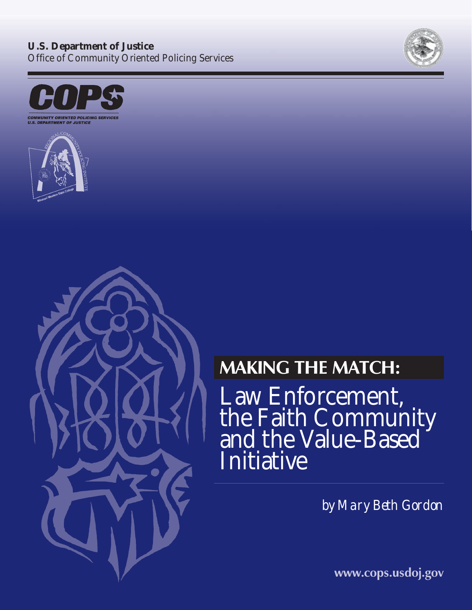# **U.S. Department of Justice**

Office of Community Oriented Policing Services









# **MAKING THE MATCH:**

Law Enforcement, the Faith Community and the Value-Based Initiative

*by Mary Beth Gordon* 

**www.cops.usdoj.gov**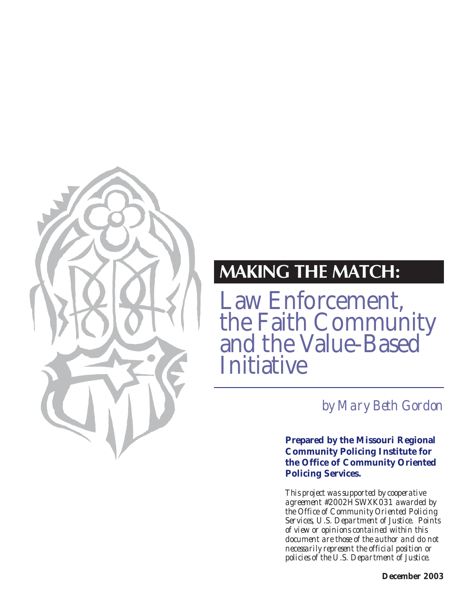

# **MAKING THE MATCH:**

Law Enforcement, the Faith Community and the Value-Based Initiative

*by Mary Beth Gordon* 

**Prepared by the Missouri Regional Community Policing Institute for the Office of Community Oriented Policing Services.** 

*This project was supported by cooperative agreement #*2002HSWXK031 *awarded by the Office of Community Oriented Policing Services, U.S. Department of Justice. Points of view or opinions contained within this document are those of the author and do not necessarily represent the official position or policies of the U.S. Department of Justice.* 

**December 2003**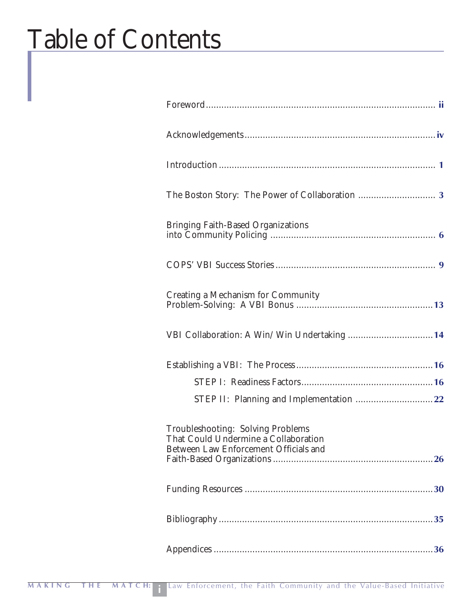# Table of Contents

| <b>Bringing Faith-Based Organizations</b>                                                                          |  |
|--------------------------------------------------------------------------------------------------------------------|--|
|                                                                                                                    |  |
| Creating a Mechanism for Community                                                                                 |  |
| VBI Collaboration: A Win/Win Undertaking  14                                                                       |  |
|                                                                                                                    |  |
|                                                                                                                    |  |
|                                                                                                                    |  |
| Troubleshooting: Solving Problems<br>That Could Undermine a Collaboration<br>Between Law Enforcement Officials and |  |
|                                                                                                                    |  |
|                                                                                                                    |  |
|                                                                                                                    |  |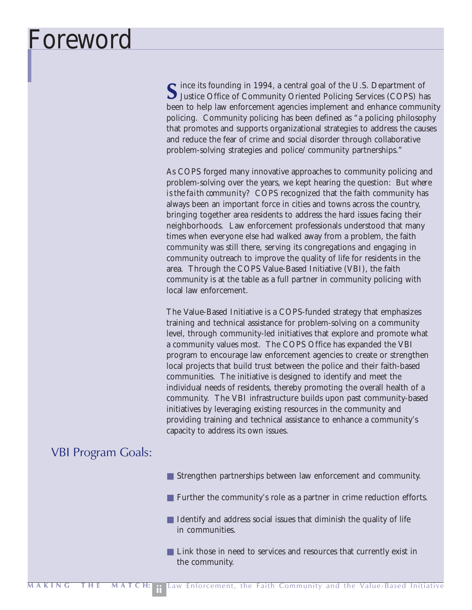# Foreword

**S**ince its founding in 1994, a central goal of the U.S. Department of Justice Office of Community Oriented Policing Services (COPS) has been to help law enforcement agencies implement and enhance community policing. Community policing has been defined as "a policing philosophy that promotes and supports organizational strategies to address the causes and reduce the fear of crime and social disorder through collaborative problem-solving strategies and police/community partnerships."

As COPS forged many innovative approaches to community policing and problem-solving over the years, we kept hearing the question: *But where is the faith community*? COPS recognized that the faith community has always been an important force in cities and towns across the country, bringing together area residents to address the hard issues facing their neighborhoods. Law enforcement professionals understood that many times when everyone else had walked away from a problem, the faith community was still there, serving its congregations and engaging in community outreach to improve the quality of life for residents in the area. Through the COPS Value-Based Initiative (VBI), the faith community is at the table as a full partner in community policing with local law enforcement.

The Value-Based Initiative is a COPS-funded strategy that emphasizes training and technical assistance for problem-solving on a community level, through community-led initiatives that explore and promote what a community values most. The COPS Office has expanded the VBI program to encourage law enforcement agencies to create or strengthen local projects that build trust between the police and their faith-based communities. The initiative is designed to identify and meet the individual needs of residents, thereby promoting the overall health of a community. The VBI infrastructure builds upon past community-based initiatives by leveraging existing resources in the community and providing training and technical assistance to enhance a community's capacity to address its own issues.

# VBI Program Goals:

- Strengthen partnerships between law enforcement and community.
- Further the community's role as a partner in crime reduction efforts.
- Identify and address social issues that diminish the quality of life in communities.
- Link those in need to services and resources that currently exist in the community.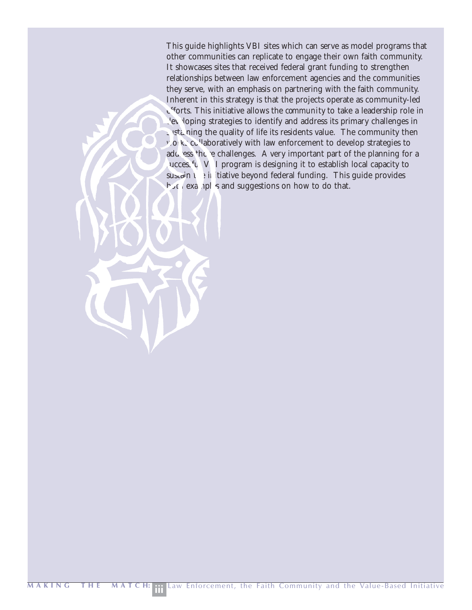This guide highlights VBI sites which can serve as model programs that other communities can replicate to engage their own faith community. It showcases sites that received federal grant funding to strengthen relationships between law enforcement agencies and the communities they serve, with an emphasis on partnering with the faith community. Inherent in this strategy is that the projects operate as community-led e<sup>ce</sup>forts. This initiative allows the *community* to take a leadership role in Jev loping strategies to identify and address its primary challenges in  $\Delta$  ist. ning the quality of life its residents value. The community then works collaboratively with law enforcement to develop strategies to add ess the e challenges. A very important part of the planning for a success  $v \vee I$  program is designing it to establish local capacity to sustain the initiative beyond federal funding. This guide provides  $\mathbf{b}$  ot lexamples and suggestions on how to do that.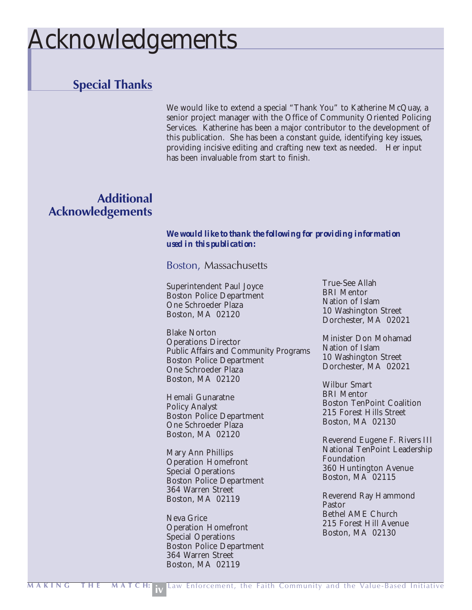# Acknowledgements

# **Special Thanks**

We would like to extend a special "Thank You" to Katherine McQuay, a senior project manager with the Office of Community Oriented Policing Services. Katherine has been a major contributor to the development of this publication. She has been a constant guide, identifying key issues, providing incisive editing and crafting new text as needed.Her input has been invaluable from start to finish.

# **Additional Acknowledgements**

#### *We would like to thank the following for providing information used in this publication:*

#### Boston, Massachusetts

Superintendent Paul Joyce Boston Police Department One Schroeder Plaza Boston, MA 02120

Blake Norton Operations Director Public Affairs and Community Programs Boston Police Department One Schroeder Plaza Boston, MA 02120

Hemali Gunaratne Policy Analyst Boston Police Department One Schroeder Plaza Boston, MA 02120

Mary Ann Phillips Operation Homefront Special Operations Boston Police Department 364 Warren Street Boston, MA 02119

Neva Grice Operation Homefront Special Operations Boston Police Department 364 Warren Street Boston, MA 02119

True-See Allah BRI Mentor Nation of Islam 10 Washington Street Dorchester, MA 02021

Minister Don Mohamad Nation of Islam 10 Washington Street Dorchester, MA 02021

Wilbur Smart BRI Mentor Boston TenPoint Coalition 215 Forest Hills Street Boston, MA 02130

Reverend Eugene F. Rivers III National TenPoint Leadership Foundation 360 Huntington Avenue Boston, MA 02115

Reverend Ray Hammond Pastor Bethel AME Church 215 Forest Hill Avenue Boston, MA 02130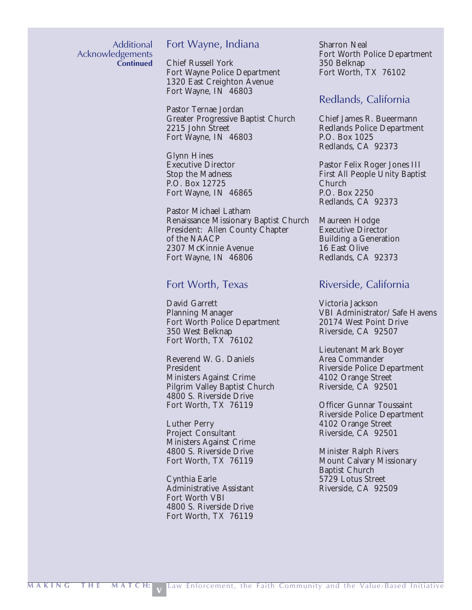#### Additional Acknowledgements **Continued**

### Fort Wayne, Indiana

Chief Russell York Fort Wayne Police Department 1320 East Creighton Avenue Fort Wayne, IN 46803

Pastor Ternae Jordan Greater Progressive Baptist Church 2215 John Street Fort Wayne, IN 46803

Glynn Hines Executive Director Stop the Madness P.O. Box 12725 Fort Wayne, IN 46865

Pastor Michael Latham Renaissance Missionary Baptist Churc President: Allen County Chapter of the NAACP 2307 McKinnie Avenue Fort Wayne, IN 46806

### Fort Worth, Texas

David Garrett Planning Manager Fort Worth Police Department 350 West Belknap Fort Worth, TX 76102

Reverend W. G. Daniels President Ministers Against Crime Pilgrim Valley Baptist Church 4800 S. Riverside Drive Fort Worth, TX 76119

Luther Perry Project Consultant Ministers Against Crime 4800 S. Riverside Drive Fort Worth, TX 76119

Cynthia Earle Administrative Assistant Fort Worth VBI 4800 S. Riverside Drive Fort Worth, TX 76119

Sharron Neal Fort Worth Police Department 350 Belknap Fort Worth, TX 76102

### Redlands, California

Chief James R. Bueermann Redlands Police Department P.O. Box 1025 Redlands, CA 92373

Pastor Felix Roger Jones III First All People Unity Baptist Church P.O. Box 2250 Redlands, CA 92373

Maureen Hodge Executive Director Building a Generation 16 East Olive Redlands, CA 92373

#### Riverside, California

Victoria Jackson VBI Administrator/Safe Havens 20174 West Point Drive Riverside, CA 92507

Lieutenant Mark Boyer Area Commander Riverside Police Department 4102 Orange Street Riverside, CA 92501

Officer Gunnar Toussaint Riverside Police Department 4102 Orange Street Riverside, CA 92501

Minister Ralph Rivers Mount Calvary Missionary Baptist Church 5729 Lotus Street Riverside, CA 92509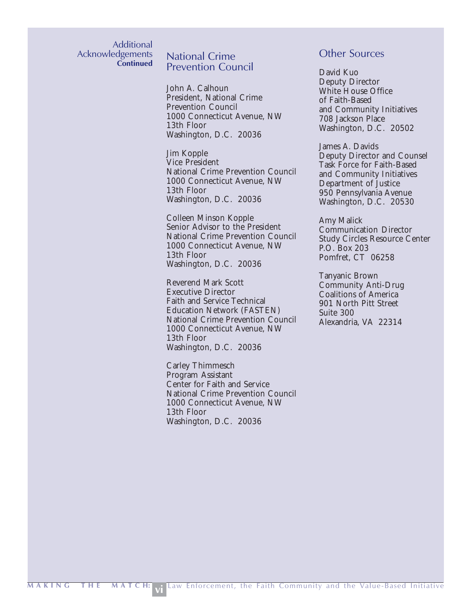#### **Additional** Acknowledgements **Continued**

### National Crime Prevention Council

John A. Calhoun President, National Crime Prevention Council 1000 Connecticut Avenue, NW 13th Floor Washington, D.C. 20036

Jim Kopple Vice President National Crime Prevention Council 1000 Connecticut Avenue, NW 13th Floor Washington, D.C. 20036

Colleen Minson Kopple Senior Advisor to the President National Crime Prevention Council 1000 Connecticut Avenue, NW 13th Floor Washington, D.C. 20036

Reverend Mark Scott Executive Director Faith and Service Technical Education Network (FASTEN) National Crime Prevention Council 1000 Connecticut Avenue, NW 13th Floor Washington, D.C. 20036

Carley Thimmesch Program Assistant Center for Faith and Service National Crime Prevention Council 1000 Connecticut Avenue, NW 13th Floor Washington, D.C. 20036

### Other Sources

David Kuo Deputy Director White House Office of Faith-Based and Community Initiatives 708 Jackson Place Washington, D.C. 20502

James A. Davids Deputy Director and Counsel Task Force for Faith-Based and Community Initiatives Department of Justice 950 Pennsylvania Avenue Washington, D.C. 20530

Amy Malick Communication Director Study Circles Resource Center P.O. Box 203 Pomfret, CT 06258

Tanyanic Brown Community Anti-Drug Coalitions of America 901 North Pitt Street Suite 300 Alexandria, VA 22314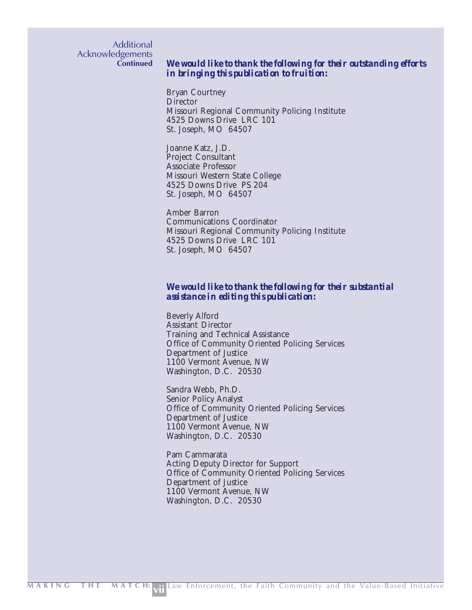# **Additional** Acknowledgements

#### **Continued** *We would like to thank the following for their outstanding efforts in bringing this publication to fruition:*

Bryan Courtney **Director** Missouri Regional Community Policing Institute 4525 Downs Drive LRC 101 St. Joseph, MO 64507

Joanne Katz, J.D. Project Consultant Associate Professor Missouri Western State College 4525 Downs Drive PS 204 St. Joseph, MO 64507

Amber Barron Communications Coordinator Missouri Regional Community Policing Institute 4525 Downs Drive LRC 101 St. Joseph, MO 64507

### *We would like to thank the following for their substantial assistance in editing this publication:*

Beverly Alford Assistant Director Training and Technical Assistance Office of Community Oriented Policing Services Department of Justice 1100 Vermont Avenue, NW Washington, D.C. 20530

Sandra Webb, Ph.D. Senior Policy Analyst Office of Community Oriented Policing Services Department of Justice 1100 Vermont Avenue, NW Washington, D.C. 20530

Pam Cammarata Acting Deputy Director for Support Office of Community Oriented Policing Services Department of Justice 1100 Vermont Avenue, NW Washington, D.C. 20530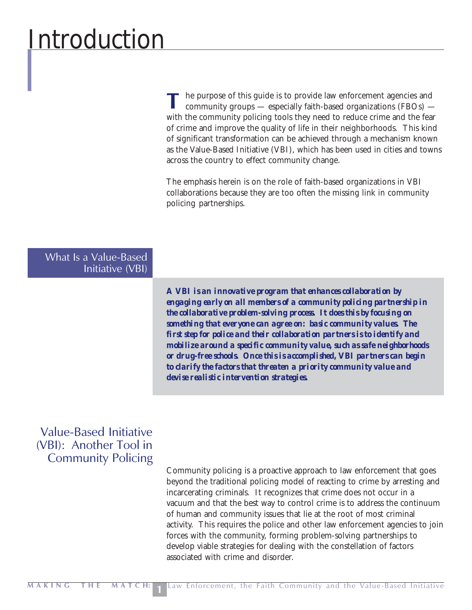# Introduction

The purpose of this guide is to provide law enforcement agencies and community groups — especially faith-based organizations (FBOs) with the community policing tools they need to reduce crime and the fear of crime and improve the quality of life in their neighborhoods. This kind of significant transformation can be achieved through a mechanism known as the Value-Based Initiative (VBI), which has been used in cities and towns across the country to effect community change.

The emphasis herein is on the role of faith-based organizations in VBI collaborations because they are too often the missing link in community policing partnerships.

### What Is a Value-Based Initiative (VBI)

*A VBI is an innovative program that enhances collaboration by engaging early on all members of a community policing partnership in the collaborative problem-solving process. It does this by focusing on something that everyone can agree on: basic community values. The first step for police and their collaboration partners is to identify and mobilize around a specific community value, such as safe neighborhoods or drug-free schools. Once this is accomplished, VBI partners can begin to clarify the factors that threaten a priority community value and devise realistic intervention strategies.* 

# Value-Based Initiative (VBI): Another Tool in Community Policing

Community policing is a proactive approach to law enforcement that goes beyond the traditional policing model of reacting to crime by arresting and incarcerating criminals. It recognizes that crime does not occur in a vacuum and that the best way to control crime is to address the continuum of human and community issues that lie at the root of most criminal activity. This requires the police and other law enforcement agencies to join forces with the community, forming problem-solving partnerships to develop viable strategies for dealing with the constellation of factors associated with crime and disorder.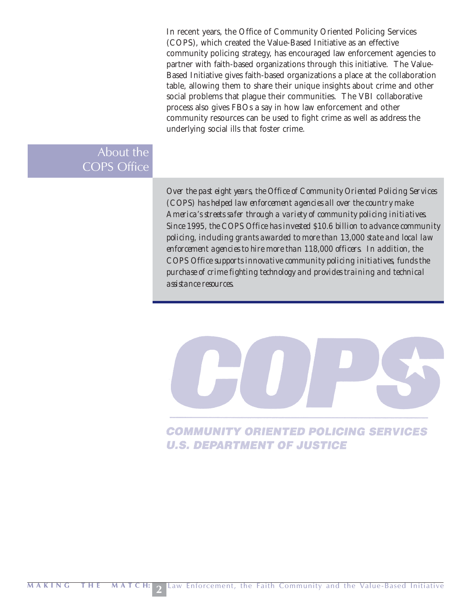In recent years, the Office of Community Oriented Policing Services (COPS), which created the Value-Based Initiative as an effective community policing strategy, has encouraged law enforcement agencies to partner with faith-based organizations through this initiative. The Value-Based Initiative gives faith-based organizations a place at the collaboration table, allowing them to share their unique insights about crime and other social problems that plague their communities. The VBI collaborative process also gives FBOs a say in how law enforcement and other community resources can be used to fight crime as well as address the underlying social ills that foster crime.

# About the COPS Office

*Over the past eight years, the Office of Community Oriented Policing Services (COPS) has helped law enforcement agencies all over the country make America's streets safer through a variety of community policing initiatives. Since 1995, the COPS Office has invested \$10.6 billion to advance community policing, including grants awarded to more than 13,000 state and local law enforcement agencies to hire more than 118,000 officers. In addition, the COPS Office supports innovative community policing initiatives, funds the purchase of crime fighting technology and provides training and technical assistance resources.* 



**COMMUNITY ORIENTED POLICING SERVICES U.S. DEPARTMENT OF JUSTICE**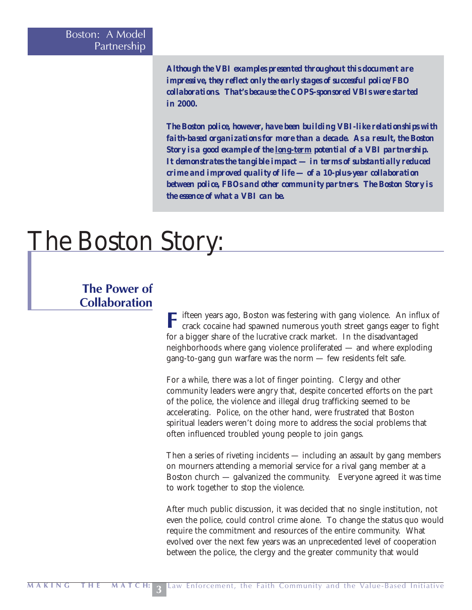*Although the VBI examples presented throughout this document are impressive, they reflect only the early stages of successful police/FBO collaborations. That's because the COPS-sponsored VBIs were started in 2000.* 

*The Boston police, however, have been building VBI-like relationships with faith-based organizations for more than a decade. As a result, the Boston Story is a good example of the long-term potential of a VBI partnership. It demonstrates the tangible impact — in terms of substantially reduced crime and improved quality of life — of a 10-plus-year collaboration between police, FBOs and other community partners. The Boston Story is the essence of what a VBI can be.* 

# The Boston Story:

# **The Power of Collaboration**

**F** ifteen years ago, Boston was festering with gang violence. An influx of crack cocaine had spawned numerous youth street gangs eager to fight for a bigger share of the lucrative crack market. In the disadvantaged neighborhoods where gang violence proliferated — and where exploding gang-to-gang gun warfare was the norm — few residents felt safe.

For a while, there was a lot of finger pointing. Clergy and other community leaders were angry that, despite concerted efforts on the part of the police, the violence and illegal drug trafficking seemed to be accelerating. Police, on the other hand, were frustrated that Boston spiritual leaders weren't doing more to address the social problems that often influenced troubled young people to join gangs.

Then a series of riveting incidents — including an assault by gang members on mourners attending a memorial service for a rival gang member at a Boston church — galvanized the community. Everyone agreed it was time to work together to stop the violence.

After much public discussion, it was decided that no single institution, not even the police, could control crime alone. To change the status quo would require the commitment and resources of the entire community. What evolved over the next few years was an unprecedented level of cooperation between the police, the clergy and the greater community that would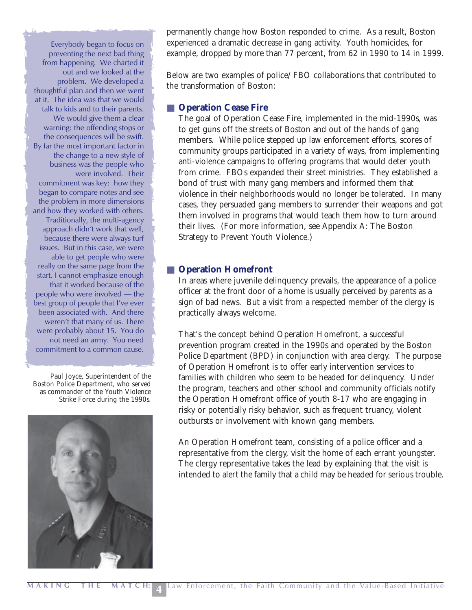Everybody began to focus on preventing the next bad thing from happening. We charted it out and we looked at the problem. We developed a thoughtful plan and then we went at it. The idea was that we would talk to kids and to their parents. We would give them a clear warning: the offending stops or the consequences will be swift. By far the most important factor in the change to a new style of business was the people who were involved. Their commitment was key: how they began to compare notes and see the problem in more dimensions and how they worked with others. Traditionally, the multi-agency approach didn't work that well, because there were always turf issues. But in this case, we were able to get people who were really on the same page from the start. I cannot emphasize enough that it worked because of the people who were involved - the best group of people that I've ever been associated with. And there weren't that many of us. There were probably about 15. You do not need an army. You need commitment to a common cause.

Paul Joyce, Superintendent of the Boston Police Department, who served as commander of the Youth Violence Strike Force during the 1990s.



permanently change how Boston responded to crime. As a result, Boston experienced a dramatic decrease in gang activity. Youth homicides, for example, dropped by more than 77 percent, from 62 in 1990 to 14 in 1999.

Below are two examples of police/FBO collaborations that contributed to the transformation of Boston:

#### ■ **Operation Cease Fire**

The goal of Operation Cease Fire, implemented in the mid-1990s, was to get guns off the streets of Boston and out of the hands of gang members. While police stepped up law enforcement efforts, scores of community groups participated in a variety of ways, from implementing anti-violence campaigns to offering programs that would deter youth from crime. FBOs expanded their street ministries. They established a bond of trust with many gang members and informed them that violence in their neighborhoods would no longer be tolerated. In many cases, they persuaded gang members to surrender their weapons and got them involved in programs that would teach them how to turn around their lives. (For more information, see Appendix A: The Boston Strategy to Prevent Youth Violence.)

#### ■ **Operation Homefront**

In areas where juvenile delinquency prevails, the appearance of a police officer at the front door of a home is usually perceived by parents as a sign of bad news. But a visit from a respected member of the clergy is practically always welcome.

That's the concept behind Operation Homefront, a successful prevention program created in the 1990s and operated by the Boston Police Department (BPD) in conjunction with area clergy. The purpose of Operation Homefront is to offer early intervention services to families with children who seem to be headed for delinquency. Under the program, teachers and other school and community officials notify the Operation Homefront office of youth 8-17 who are engaging in risky or potentially risky behavior, such as frequent truancy, violent outbursts or involvement with known gang members.

An Operation Homefront team, consisting of a police officer and a representative from the clergy, visit the home of each errant youngster. The clergy representative takes the lead by explaining that the visit is intended to alert the family that a child may be headed for serious trouble.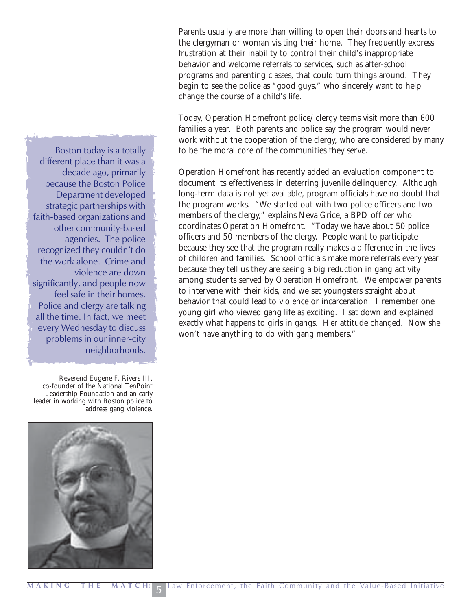Parents usually are more than willing to open their doors and hearts to the clergyman or woman visiting their home. They frequently express frustration at their inability to control their child's inappropriate behavior and welcome referrals to services, such as after-school programs and parenting classes, that could turn things around. They begin to see the police as "good guys," who sincerely want to help change the course of a child's life.

Today, Operation Homefront police/clergy teams visit more than 600 families a year. Both parents and police say the program would never work without the cooperation of the clergy, who are considered by many to be the moral core of the communities they serve.

Operation Homefront has recently added an evaluation component to document its effectiveness in deterring juvenile delinquency. Although long-term data is not yet available, program officials have no doubt that the program works. "We started out with two police officers and two members of the clergy," explains Neva Grice, a BPD officer who coordinates Operation Homefront. "Today we have about 50 police officers and 50 members of the clergy. People want to participate because they see that the program really makes a difference in the lives of children and families. School officials make more referrals every year because they tell us they are seeing a big reduction in gang activity among students served by Operation Homefront. We empower parents to intervene with their kids, and we set youngsters straight about behavior that could lead to violence or incarceration. I remember one young girl who viewed gang life as exciting. I sat down and explained exactly what happens to girls in gangs. Her attitude changed. Now she won't have anything to do with gang members."

Boston today is a totally different place than it was a decade ago, primarily because the Boston Police Department developed strategic partnerships with faith-based organizations and other community-based agencies. The police recognized they couldn't do the work alone. Crime and violence are down significantly, and people now feel safe in their homes. Police and clergy are talking all the time. In fact, we meet every Wednesday to discuss problems in our inner-city neighborhoods.

Reverend Eugene F. Rivers III, co-founder of the National TenPoint Leadership Foundation and an early leader in working with Boston police to address gang violence.

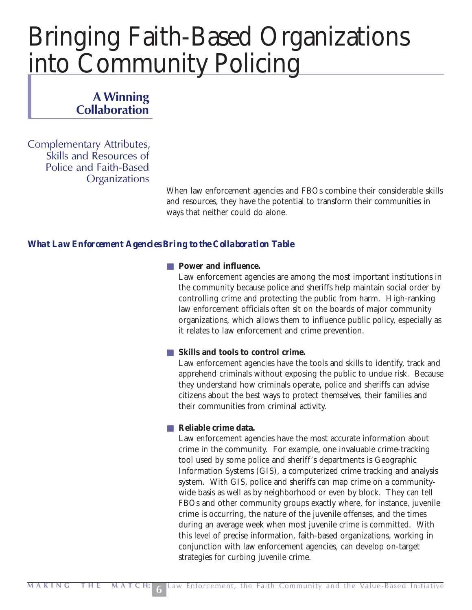# Bringing Faith-Based Organizations into Community Policing

# **A Winning Collaboration**

Complementary Attributes, Skills and Resources of Police and Faith-Based **Organizations** 

> When law enforcement agencies and FBOs combine their considerable skills and resources, they have the potential to transform their communities in ways that neither could do alone.

#### *What Law Enforcement Agencies Bring to the Collaboration Table*

#### ■ **Power and influence.**

Law enforcement agencies are among the most important institutions in the community because police and sheriffs help maintain social order by controlling crime and protecting the public from harm. High-ranking law enforcement officials often sit on the boards of major community organizations, which allows them to influence public policy, especially as it relates to law enforcement and crime prevention.

#### ■ **Skills and tools to control crime.**

Law enforcement agencies have the tools and skills to identify, track and apprehend criminals without exposing the public to undue risk. Because they understand how criminals operate, police and sheriffs can advise citizens about the best ways to protect themselves, their families and their communities from criminal activity.

#### ■ **Reliable crime data.**

Law enforcement agencies have the most accurate information about crime in the community. For example, one invaluable crime-tracking tool used by some police and sheriff's departments is Geographic Information Systems (GIS), a computerized crime tracking and analysis system. With GIS, police and sheriffs can map crime on a communitywide basis as well as by neighborhood or even by block. They can tell FBOs and other community groups exactly where, for instance, juvenile crime is occurring, the nature of the juvenile offenses, and the times during an average week when most juvenile crime is committed. With this level of precise information, faith-based organizations, working in conjunction with law enforcement agencies, can develop on-target strategies for curbing juvenile crime.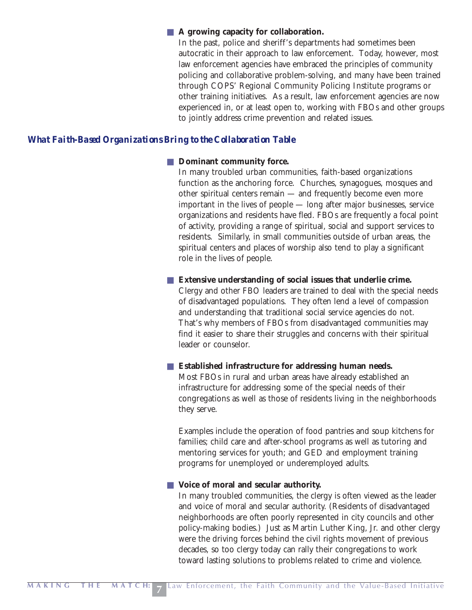#### ■ **A** growing capacity for collaboration.

In the past, police and sheriff's departments had sometimes been autocratic in their approach to law enforcement. Today, however, most law enforcement agencies have embraced the principles of community policing and collaborative problem-solving, and many have been trained through COPS' Regional Community Policing Institute programs or other training initiatives. As a result, law enforcement agencies are now experienced in, or at least open to, working with FBOs and other groups to jointly address crime prevention and related issues.

### *What Faith-Based Organizations Bring to the Collaboration Table*

#### ■ **Dominant community force.**

In many troubled urban communities, faith-based organizations function as the anchoring force. Churches, synagogues, mosques and other spiritual centers remain — and frequently become even more important in the lives of people — long after major businesses, service organizations and residents have fled. FBOs are frequently a focal point of activity, providing a range of spiritual, social and support services to residents. Similarly, in small communities outside of urban areas, the spiritual centers and places of worship also tend to play a significant role in the lives of people.

#### ■ **Extensive understanding of social issues that underlie crime.**

Clergy and other FBO leaders are trained to deal with the special needs of disadvantaged populations. They often lend a level of compassion and understanding that traditional social service agencies do not. That's why members of FBOs from disadvantaged communities may find it easier to share their struggles and concerns with their spiritual leader or counselor.

■ **Established infrastructure for addressing human needs.** Most FBOs in rural and urban areas have already established an infrastructure for addressing some of the special needs of their congregations as well as those of residents living in the neighborhoods they serve.

Examples include the operation of food pantries and soup kitchens for families; child care and after-school programs as well as tutoring and mentoring services for youth; and GED and employment training programs for unemployed or underemployed adults.

#### ■ **Voice of moral and secular authority.**

In many troubled communities, the clergy is often viewed as the leader and voice of moral and secular authority. (Residents of disadvantaged neighborhoods are often poorly represented in city councils and other policy-making bodies.) Just as Martin Luther King, Jr. and other clergy were the driving forces behind the civil rights movement of previous decades, so too clergy today can rally their congregations to work toward lasting solutions to problems related to crime and violence.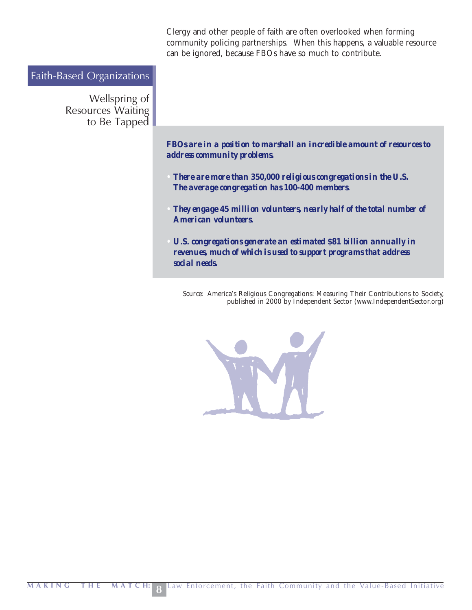Clergy and other people of faith are often overlooked when forming community policing partnerships. When this happens, a valuable resource can be ignored, because FBOs have so much to contribute.

## Faith-Based Organizations

Wellspring of Resources Waiting to Be Tapped

> *FBOs are in a position to marshall an incredible amount of resources to address community problems.*

- *There are more than 350,000 religious congregations in the U.S. The average congregation has 100-400 members.*
- *They engage 45 million volunteers, nearly half of the total number of American volunteers.*
- *U.S. congregations generate an estimated \$81 billion annually in revenues, much of which is used to support programs that address social needs.*

*Source:* America's Religious Congregations: Measuring Their Contributions to Society, published in 2000 by Independent Sector (www.IndependentSector.org)

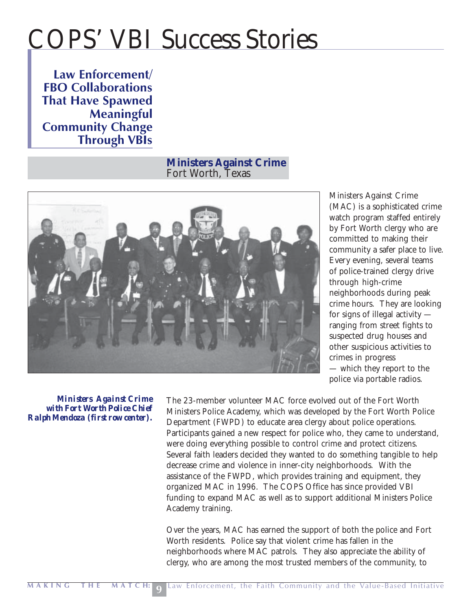# COPS' VBI Success Stories

**Law Enforcement/ FBO Collaborations That Have Spawned Meaningful Community Change Through VBIs** 

### **Ministers Against Crime** Fort Worth, Texas



Ministers Against Crime (MAC) is a sophisticated crime watch program staffed entirely by Fort Worth clergy who are committed to making their community a safer place to live. Every evening, several teams of police-trained clergy drive through high-crime neighborhoods during peak crime hours. They are looking for signs of illegal activity ranging from street fights to suspected drug houses and other suspicious activities to crimes in progress — which they report to the police via portable radios.

*Ministers Against Crime with Fort Worth Police Chief Ralph Mendoza (first row center).* 

The 23-member volunteer MAC force evolved out of the Fort Worth Ministers Police Academy, which was developed by the Fort Worth Police Department (FWPD) to educate area clergy about police operations. Participants gained a new respect for police who, they came to understand, were doing everything possible to control crime and protect citizens. Several faith leaders decided they wanted to do something tangible to help decrease crime and violence in inner-city neighborhoods. With the assistance of the FWPD, which provides training and equipment, they organized MAC in 1996. The COPS Office has since provided VBI funding to expand MAC as well as to support additional Ministers Police Academy training.

Over the years, MAC has earned the support of both the police and Fort Worth residents. Police say that violent crime has fallen in the neighborhoods where MAC patrols. They also appreciate the ability of clergy, who are among the most trusted members of the community, to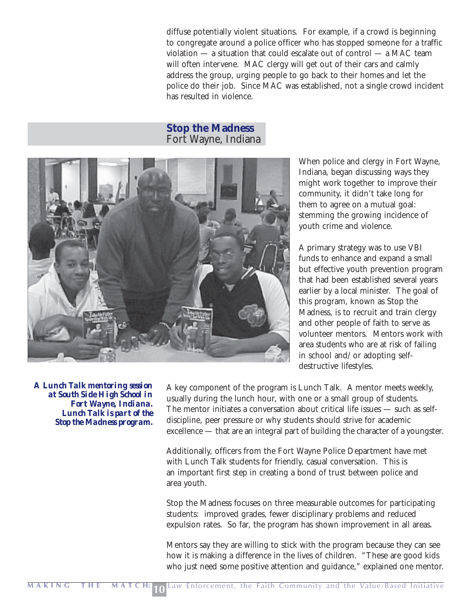diffuse potentially violent situations. For example, if a crowd is beginning to congregate around a police officer who has stopped someone for a traffic violation — a situation that could escalate out of control — a MAC team will often intervene. MAC clergy will get out of their cars and calmly address the group, urging people to go back to their homes and let the police do their job. Since MAC was established, not a single crowd incident has resulted in violence.

### **Stop the Madness** Fort Wayne, Indiana



When police and clergy in Fort Wayne, Indiana, began discussing ways they might work together to improve their community, it didn't take long for them to agree on a mutual goal: stemming the growing incidence of youth crime and violence.

A primary strategy was to use VBI funds to enhance and expand a small but effective youth prevention program that had been established several years earlier by a local minister. The goal of this program, known as Stop the Madness, is to recruit and train clergy and other people of faith to serve as volunteer mentors. Mentors work with area students who are at risk of failing in school and/or adopting selfdestructive lifestyles.

*A Lunch Talk mentoring session at South Side High School in Fort Wayne, Indiana. Lunch Talk is part of the Stop the Madness program.* 

A key component of the program is Lunch Talk. A mentor meets weekly, usually during the lunch hour, with one or a small group of students. The mentor initiates a conversation about critical life issues — such as selfdiscipline, peer pressure or why students should strive for academic excellence — that are an integral part of building the character of a youngster.

Additionally, officers from the Fort Wayne Police Department have met with Lunch Talk students for friendly, casual conversation. This is an important first step in creating a bond of trust between police and area youth.

Stop the Madness focuses on three measurable outcomes for participating students: improved grades, fewer disciplinary problems and reduced expulsion rates. So far, the program has shown improvement in all areas.

Mentors say they are willing to stick with the program because they can see how it is making a difference in the lives of children. "These are good kids who just need some positive attention and guidance," explained one mentor.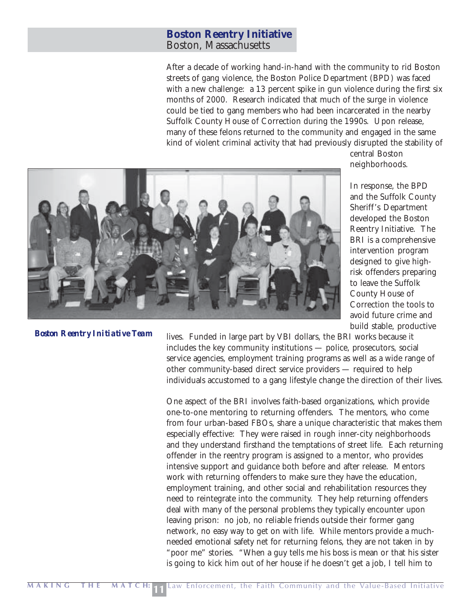### **Boston Reentry Initiative** Boston, Massachusetts

After a decade of working hand-in-hand with the community to rid Boston streets of gang violence, the Boston Police Department (BPD) was faced with a new challenge: a 13 percent spike in gun violence during the first six months of 2000. Research indicated that much of the surge in violence could be tied to gang members who had been incarcerated in the nearby Suffolk County House of Correction during the 1990s. Upon release, many of these felons returned to the community and engaged in the same kind of violent criminal activity that had previously disrupted the stability of



central Boston neighborhoods.

In response, the BPD and the Suffolk County Sheriff's Department developed the Boston Reentry Initiative. The BRI is a comprehensive intervention program designed to give highrisk offenders preparing to leave the Suffolk County House of Correction the tools to avoid future crime and build stable, productive

*Boston Reentry Initiative Team* 

lives. Funded in large part by VBI dollars, the BRI works because it includes the key community institutions — police, prosecutors, social service agencies, employment training programs as well as a wide range of other community-based direct service providers — required to help individuals accustomed to a gang lifestyle change the direction of their lives.

One aspect of the BRI involves faith-based organizations, which provide one-to-one mentoring to returning offenders. The mentors, who come from four urban-based FBOs, share a unique characteristic that makes them especially effective: They were raised in rough inner-city neighborhoods and they understand firsthand the temptations of street life. Each returning offender in the reentry program is assigned to a mentor, who provides intensive support and guidance both before and after release. Mentors work with returning offenders to make sure they have the education, employment training, and other social and rehabilitation resources they need to reintegrate into the community. They help returning offenders deal with many of the personal problems they typically encounter upon leaving prison: no job, no reliable friends outside their former gang network, no easy way to get on with life. While mentors provide a muchneeded emotional safety net for returning felons, they are not taken in by "poor me" stories. "When a guy tells me his boss is mean or that his sister is going to kick him out of her house if he doesn't get a job, I tell him to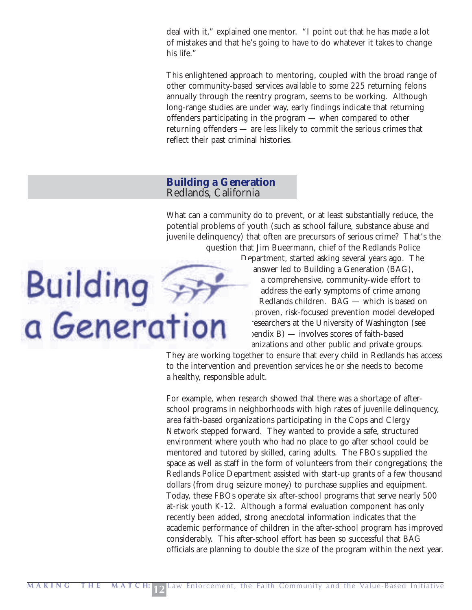deal with it," explained one mentor. "I point out that he has made a lot of mistakes and that he's going to have to do whatever it takes to change his life."

This enlightened approach to mentoring, coupled with the broad range of other community-based services available to some 225 returning felons annually through the reentry program, seems to be working. Although long-range studies are under way, early findings indicate that returning offenders participating in the program — when compared to other returning offenders — are less likely to commit the serious crimes that reflect their past criminal histories.

### **Building a Generation** Redlands, California

What can a community do to prevent, or at least substantially reduce, the potential problems of youth (such as school failure, substance abuse and juvenile delinquency) that often are precursors of serious crime? That's the question that Jim Bueermann, chief of the Redlands Police

**Building** a Generation

Department, started asking several years ago. The answer led to Building a Generation (BAG), a comprehensive, community-wide effort to address the early symptoms of crime among Redlands children. BAG — which is based on a proven, risk-focused prevention model developed esearchers at the University of Washington (see  $\text{endix } B$ ) — involves scores of faith-based anizations and other public and private groups.

They are working together to ensure that every child in Redlands has access to the intervention and prevention services he or she needs to become a healthy, responsible adult.

For example, when research showed that there was a shortage of afterschool programs in neighborhoods with high rates of juvenile delinquency, area faith-based organizations participating in the Cops and Clergy Network stepped forward. They wanted to provide a safe, structured environment where youth who had no place to go after school could be mentored and tutored by skilled, caring adults. The FBOs supplied the space as well as staff in the form of volunteers from their congregations; the Redlands Police Department assisted with start-up grants of a few thousand dollars (from drug seizure money) to purchase supplies and equipment. Today, these FBOs operate six after-school programs that serve nearly 500 at-risk youth K-12. Although a formal evaluation component has only recently been added, strong anecdotal information indicates that the academic performance of children in the after-school program has improved considerably. This after-school effort has been so successful that BAG officials are planning to double the size of the program within the next year.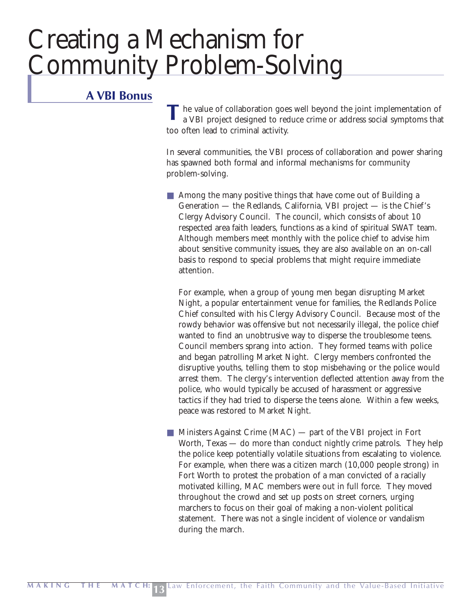# Creating a Mechanism for Community Problem-Solving

# **A VBI Bonus**

The value of collaboration goes well beyond the joint implementation of a VBI project designed to reduce crime or address social symptoms that too often lead to criminal activity.

In several communities, the VBI process of collaboration and power sharing has spawned both formal and informal mechanisms for community problem-solving.

■ Among the many positive things that have come out of Building a Generation — the Redlands, California, VBI project — is the Chief's Clergy Advisory Council. The council, which consists of about 10 respected area faith leaders, functions as a kind of spiritual SWAT team. Although members meet monthly with the police chief to advise him about sensitive community issues, they are also available on an on-call basis to respond to special problems that might require immediate attention.

For example, when a group of young men began disrupting Market Night, a popular entertainment venue for families, the Redlands Police Chief consulted with his Clergy Advisory Council. Because most of the rowdy behavior was offensive but not necessarily illegal, the police chief wanted to find an unobtrusive way to disperse the troublesome teens. Council members sprang into action. They formed teams with police and began patrolling Market Night. Clergy members confronted the disruptive youths, telling them to stop misbehaving or the police would arrest them. The clergy's intervention deflected attention away from the police, who would typically be accused of harassment or aggressive tactics if they had tried to disperse the teens alone. Within a few weeks, peace was restored to Market Night.

 $\blacksquare$  Ministers Against Crime (MAC) — part of the VBI project in Fort Worth, Texas — do more than conduct nightly crime patrols. They help the police keep potentially volatile situations from escalating to violence. For example, when there was a citizen march (10,000 people strong) in Fort Worth to protest the probation of a man convicted of a racially motivated killing, MAC members were out in full force. They moved throughout the crowd and set up posts on street corners, urging marchers to focus on their goal of making a non-violent political statement. There was not a single incident of violence or vandalism during the march.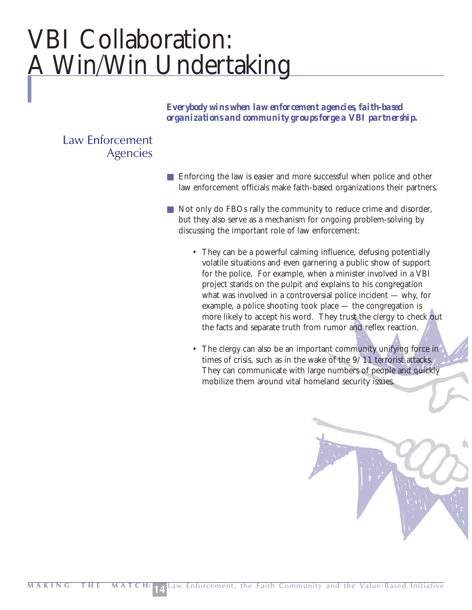# VBI Collaboration: A Win/Win Undertaking

*Everybody wins when law enforcement agencies, faith-based organizations and community groups forge a VBI partnership.* 

# Law Enforcement Agencies

- Enforcing the law is easier and more successful when police and other law enforcement officials make faith-based organizations their partners.
- Not only do FBOs rally the community to reduce crime and disorder, but they also serve as a mechanism for ongoing problem-solving by discussing the important role of law enforcement:
	- They can be a powerful calming influence, defusing potentially volatile situations and even garnering a public show of support for the police. For example, when a minister involved in a VBI project stands on the pulpit and explains to his congregation what was involved in a controversial police incident — why, for example, a police shooting took place — the congregation is more likely to accept his word. They trust the clergy to check out the facts and separate truth from rumor and reflex reaction.
	- The clergy can also be an important community unifying force in times of crisis, such as in the wake of the 9/11 terrorist attacks. They can communicate with large numbers of people and quickly mobilize them around vital homeland security issues.

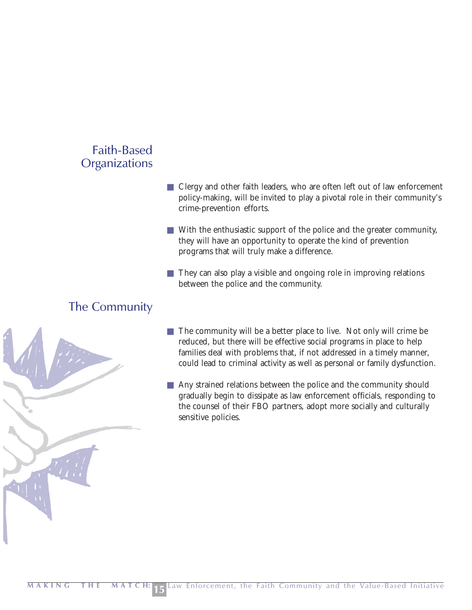# Faith-Based **Organizations**

- Clergy and other faith leaders, who are often left out of law enforcement policy-making, will be invited to play a pivotal role in their community's crime-prevention efforts.
- With the enthusiastic support of the police and the greater community, they will have an opportunity to operate the kind of prevention programs that will truly make a difference.
- They can also play a visible and ongoing role in improving relations between the police and the community.

# The Community



- The community will be a better place to live. Not only will crime be reduced, but there will be effective social programs in place to help families deal with problems that, if not addressed in a timely manner, could lead to criminal activity as well as personal or family dysfunction.
- Any strained relations between the police and the community should gradually begin to dissipate as law enforcement officials, responding to the counsel of their FBO partners, adopt more socially and culturally sensitive policies.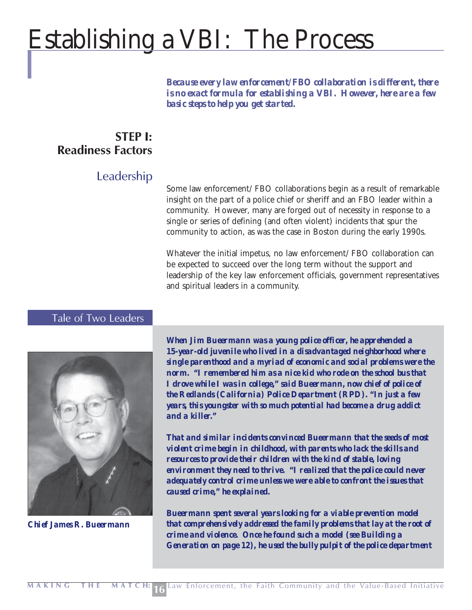# Establishing a VBI: The Process

*Because every law enforcement/FBO collaboration is different, there is no exact formula for establishing a VBI. However, here are a few basic steps to help you get started.* 

# **STEP I: Readiness Factors**

# Leadership

Some law enforcement/FBO collaborations begin as a result of remarkable insight on the part of a police chief or sheriff and an FBO leader within a community. However, many are forged out of necessity in response to a single or series of defining (and often violent) incidents that spur the community to action, as was the case in Boston during the early 1990s.

Whatever the initial impetus, no law enforcement/FBO collaboration can be expected to succeed over the long term without the support and leadership of the key law enforcement officials, government representatives and spiritual leaders in a community.

## Tale of Two Leaders



*Chief James R. Bueermann* 

*When Jim Bueermann was a young police officer, he apprehended a 15-year-old juvenile who lived in a disadvantaged neighborhood where single parenthood and a myriad of economic and social problems were the norm. "I remembered him as a nice kid who rode on the school bus that I drove while I was in college," said Bueermann, now chief of police of the Redlands (California) Police Department (RPD). "In just a few years, this youngster with so much potential had become a drug addict and a killer."* 

*That and similar incidents convinced Bueermann that the seeds of most violent crime begin in childhood, with parents who lack the skills and resources to provide their children with the kind of stable, loving environment they need to thrive. "I realized that the police could never adequately control crime unless we were able to confront the issues that caused crime," he explained.* 

*Bueermann spent several years looking for a viable prevention model that comprehensively addressed the family problems that lay at the root of crime and violence. Once he found such a model (see Building a Generation on page 12), he used the bully pulpit of the police department*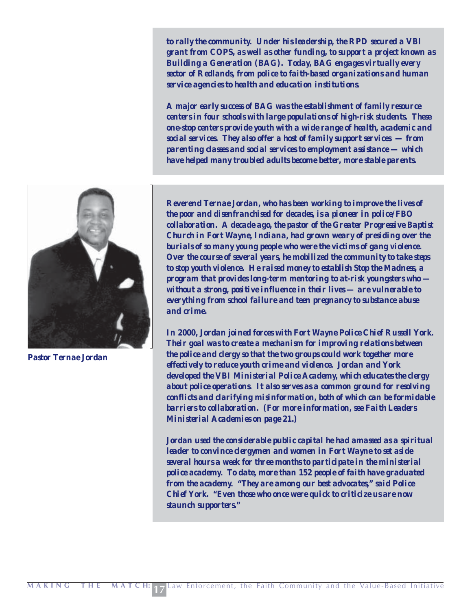*to rally the community. Under his leadership, the RPD secured a VBI grant from COPS, as well as other funding, to support a project known as Building a Generation (BAG). Today, BAG engages virtually every sector of Redlands, from police to faith-based organizations and human service agencies to health and education institutions.* 

*A major early success of BAG was the establishment of family resource centers in four schools with large populations of high-risk students. These one-stop centers provide youth with a wide range of health, academic and social services. They also offer a host of family support services — from parenting classes and social services to employment assistance — which have helped many troubled adults become better, more stable parents.* 



*Pastor Ternae Jordan* 

*Reverend Ternae Jordan, who has been working to improve the lives of the poor and disenfranchised for decades, is a pioneer in police/FBO collaboration. A decade ago, the pastor of the Greater Progressive Baptist Church in Fort Wayne, Indiana, had grown weary of presiding over the burials of so many young people who were the victims of gang violence. Over the course of several years, he mobilized the community to take steps to stop youth violence. He raised money to establish Stop the Madness, a program that provides long-term mentoring to at-risk youngsters who without a strong, positive influence in their lives — are vulnerable to everything from school failure and teen pregnancy to substance abuse and crime.* 

*In 2000, Jordan joined forces with Fort Wayne Police Chief Russell York. Their goal was to create a mechanism for improving relations between the police and clergy so that the two groups could work together more effectively to reduce youth crime and violence. Jordan and York developed the VBI Ministerial Police Academy, which educates the clergy about police operations. It also serves as a common ground for resolving conflicts and clarifying misinformation, both of which can be formidable barriers to collaboration. (For more information, see Faith Leaders Ministerial Academies on page 21.)* 

*Jordan used the considerable public capital he had amassed as a spiritual leader to convince clergymen and women in Fort Wayne to set aside several hours a week for three months to participate in the ministerial police academy. To date, more than 152 people of faith have graduated from the academy. "They are among our best advocates," said Police Chief York. "Even those who once were quick to criticize us are now staunch supporters."*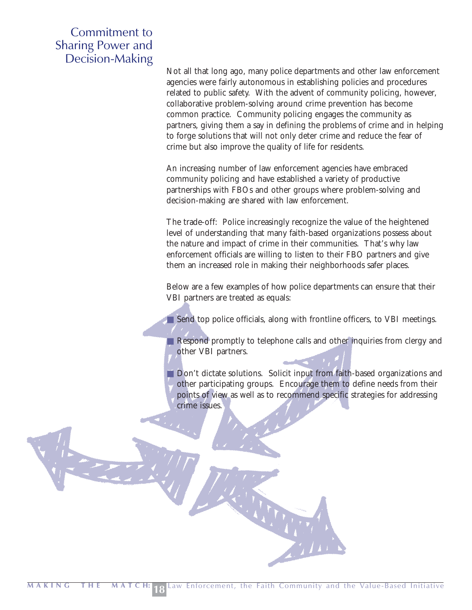# Commitment to Sharing Power and Decision-Making

Not all that long ago, many police departments and other law enforcement agencies were fairly autonomous in establishing policies and procedures related to public safety. With the advent of community policing, however, collaborative problem-solving around crime prevention has become common practice. Community policing engages the community as partners, giving them a say in defining the problems of crime and in helping to forge solutions that will not only deter crime and reduce the fear of crime but also improve the quality of life for residents.

An increasing number of law enforcement agencies have embraced community policing and have established a variety of productive partnerships with FBOs and other groups where problem-solving and decision-making are shared with law enforcement.

The trade-off: Police increasingly recognize the value of the heightened level of understanding that many faith-based organizations possess about the nature and impact of crime in their communities. That's why law enforcement officials are willing to listen to their FBO partners and give them an increased role in making their neighborhoods safer places.

Below are a few examples of how police departments can ensure that their VBI partners are treated as equals:

■ Send top police officials, along with frontline officers, to VBI meetings.

■ Respond promptly to telephone calls and other inquiries from clergy and other VBI partners.

■ Don't dictate solutions. Solicit input from faith-based organizations and other participating groups. Encourage them to define needs from their points of view as well as to recommend specific strategies for addressing crime issues.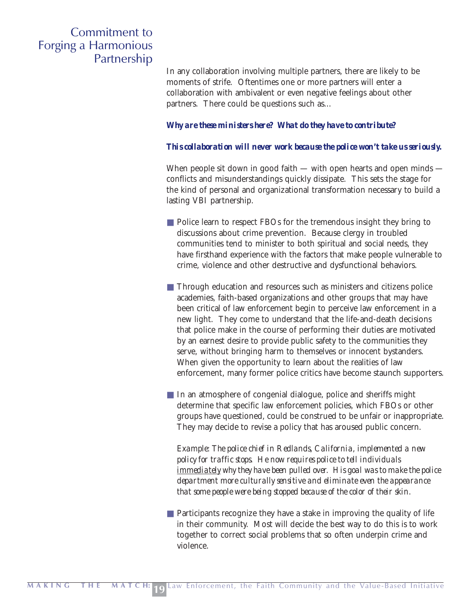# Commitment to Forging a Harmonious Partnership

In any collaboration involving multiple partners, there are likely to be moments of strife. Oftentimes one or more partners will enter a collaboration with ambivalent or even negative feelings about other partners. There could be questions such as...

#### *Why are these ministers here? What do they have to contribute?*

#### *This collaboration will never work because the police won't take us seriously.*

When people sit down in good faith — with open hearts and open minds conflicts and misunderstandings quickly dissipate. This sets the stage for the kind of personal and organizational transformation necessary to build a lasting VBI partnership.

- Police learn to respect FBOs for the tremendous insight they bring to discussions about crime prevention. Because clergy in troubled communities tend to minister to both spiritual and social needs, they have firsthand experience with the factors that make people vulnerable to crime, violence and other destructive and dysfunctional behaviors.
- Through education and resources such as ministers and citizens police academies, faith-based organizations and other groups that may have been critical of law enforcement begin to perceive law enforcement in a new light. They come to understand that the life-and-death decisions that police make in the course of performing their duties are motivated by an earnest desire to provide public safety to the communities they serve, without bringing harm to themselves or innocent bystanders. When given the opportunity to learn about the realities of law enforcement, many former police critics have become staunch supporters.
- In an atmosphere of congenial dialogue, police and sheriffs might determine that specific law enforcement policies, which FBOs or other groups have questioned, could be construed to be unfair or inappropriate. They may decide to revise a policy that has aroused public concern.

*Example: The police chief in Redlands, California, implemented a new policy for traffic stops. He now requires police to tell individuals immediately why they have been pulled over. His goal was to make the police department more culturally sensitive and eliminate even the appearance that some people were being stopped because of the color of their skin.* 

■ Participants recognize they have a stake in improving the quality of life in their community. Most will decide the best way to do this is to work together to correct social problems that so often underpin crime and violence.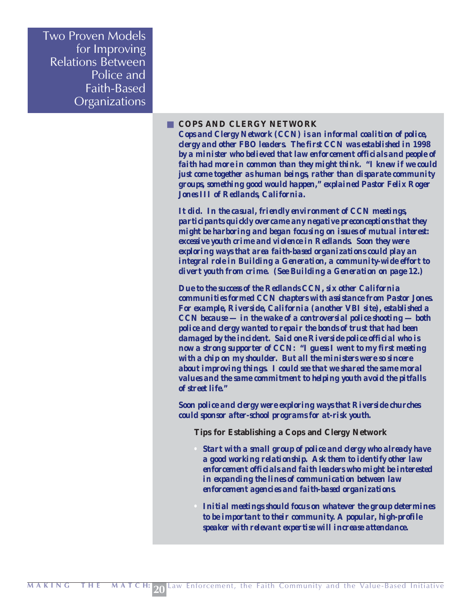Two Proven Models for Improving Relations Between Police and Faith-Based **Organizations** 

#### ■ **COPS AND CLERGY NETWORK**

*Cops and Clergy Network (CCN) is an informal coalition of police, clergy and other FBO leaders. The first CCN was established in 1998 by a minister who believed that law enforcement officials and people of faith had more in common than they might think. "I knew if we could just come together as human beings, rather than disparate community groups, something good would happen," explained Pastor Felix Roger Jones III of Redlands, California.* 

*It did. In the casual, friendly environment of CCN meetings, participants quickly overcame any negative preconceptions that they might be harboring and began focusing on issues of mutual interest: excessive youth crime and violence in Redlands. Soon they were exploring ways that area faith-based organizations could play an integral role in Building a Generation, a community-wide effort to divert youth from crime. (See Building a Generation on page 12.)* 

*Due to the success of the Redlands CCN, six other California communities formed CCN chapters with assistance from Pastor Jones. For example, Riverside, California (another VBI site), established a CCN because — in the wake of a controversial police shooting — both police and clergy wanted to repair the bonds of trust that had been damaged by the incident. Said one Riverside police official who is now a strong supporter of CCN: "I guess I went to my first meeting with a chip on my shoulder. But all the ministers were so sincere about improving things. I could see that we shared the same moral values and the same commitment to helping youth avoid the pitfalls of street life."* 

*Soon police and clergy were exploring ways that Riverside churches could sponsor after-school programs for at-risk youth.* 

**Tips for Establishing a Cops and Clergy Network** 

- *Start with a small group of police and clergy who already have a good working relationship. Ask them to identify other law enforcement officials and faith leaders who might be interested in expanding the lines of communication between law enforcement agencies and faith-based organizations.*
- *Initial meetings should focus on whatever the group determines to be important to their community. A popular, high-profile speaker with relevant expertise will increase attendance.*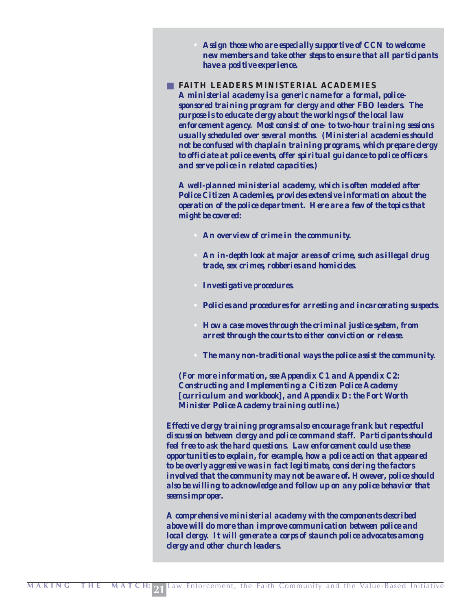Assign those who are especially supportive of CCN to welcome *new members and take other steps to ensure that all participants have a positive experience.* 

### ■ **FAITH LEADERS MINISTERIAL ACADEMIES**

*A ministerial academy is a generic name for a formal, policesponsored training program for clergy and other FBO leaders. The purpose is to educate clergy about the workings of the local law enforcement agency. Most consist of one- to two-hour training sessions usually scheduled over several months. (Ministerial academies should not be confused with chaplain training programs, which prepare clergy to officiate at police events, offer spiritual guidance to police officers and serve police in related capacities.)* 

*A well-planned ministerial academy, which is often modeled after Police Citizen Academies, provides extensive information about the operation of the police department. Here are a few of the topics that might be covered:* 

- An overview of crime in the community.
- An in-depth look at major areas of crime, such as illegal drug *trade, sex crimes, robberies and homicides.*
- *Investigative procedures.*
- *Policies and procedures for arresting and incarcerating suspects.*
- *How a case moves through the criminal justice system, from arrest through the courts to either conviction or release.*
- The many non-traditional ways the police assist the community.

*(For more information, see Appendix C1 and Appendix C2: Constructing and Implementing a Citizen Police Academy [curriculum and workbook], and Appendix D: the Fort Worth Minister Police Academy training outline.)* 

*Effective clergy training programs also encourage frank but respectful discussion between clergy and police command staff. Participants should feel free to ask the hard questions. Law enforcement could use these opportunities to explain, for example, how a police action that appeared to be overly aggressive was in fact legitimate, considering the factors involved that the community may not be aware of. However, police should also be willing to acknowledge and follow up on any police behavior that seems improper.* 

*A comprehensive ministerial academy with the components described above will do more than improve communication between police and local clergy. It will generate a corps of staunch police advocates among clergy and other church leaders.*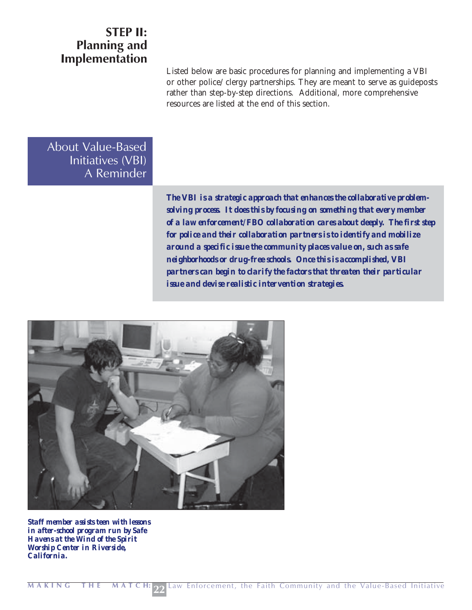# **STEP II: Planning and Implementation**

Listed below are basic procedures for planning and implementing a VBI or other police/clergy partnerships. They are meant to serve as guideposts rather than step-by-step directions. Additional, more comprehensive resources are listed at the end of this section.

About Value-Based Initiatives (VBI) A Reminder

> *The VBI is a strategic approach that enhances the collaborative problemsolving process. It does this by focusing on something that every member of a law enforcement/FBO collaboration cares about deeply. The first step for police and their collaboration partners is to identify and mobilize around a specific issue the community places value on, such as safe neighborhoods or drug-free schools. Once this is accomplished, VBI partners can begin to clarify the factors that threaten their particular issue and devise realistic intervention strategies.*



*Staff member assists teen with lessons in after-school program run by Safe Havens at the Wind of the Spirit Worship Center in Riverside, California.*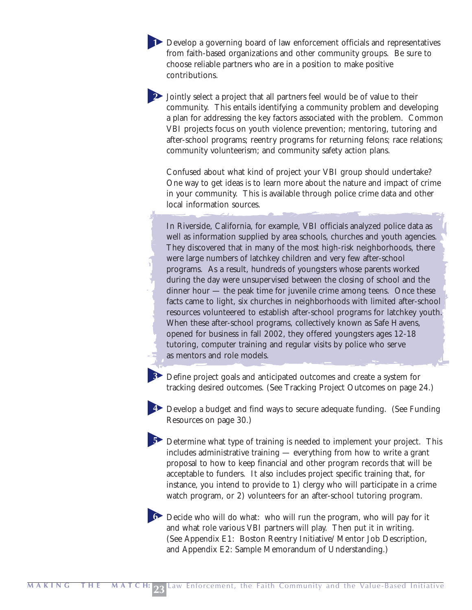<span id="page-31-0"></span>**I** Develop a governing board of law enforcement officials and representatives from faith-based organizations and other community groups. Be sure to choose reliable partners who are in a position to make positive contributions.

2 Jointly select a project that all partners feel would be of value to their community. This entails identifying a community problem and developing a plan for addressing the key factors associated with the problem. Common VBI projects focus on youth violence prevention; mentoring, tutoring and after-school programs; reentry programs for returning felons; race relations; community volunteerism; and community safety action plans.

Confused about what kind of project your VBI group should undertake? One way to get ideas is to learn more about the nature and impact of crime in your community. This is available through police crime data and other local information sources.

In Riverside, California, for example, VBI officials analyzed police data as well as information supplied by area schools, churches and youth agencies. They discovered that in many of the most high-risk neighborhoods, there were large numbers of latchkey children and very few after-school programs. As a result, hundreds of youngsters whose parents worked during the day were unsupervised between the closing of school and the dinner hour — the peak time for juvenile crime among teens. Once these facts came to light, six churches in neighborhoods with limited after-school resources volunteered to establish after-school programs for latchkey youth. When these after-school programs, collectively known as Safe Havens, opened for business in fall 2002, they offered youngsters ages 12-18 tutoring, computer training and regular visits by police who serve as mentors and role models.

**>** Define project goals and anticipated outcomes and create a system for tracking desired outcomes. (See Tracking Project Outcomes on page 24.)

▲**<sup>4</sup>** Develop a budget and find ways to secure adequate funding. (See Funding Resources on page 30.)

**5** Determine what type of training is needed to implement your project. This includes administrative training — everything from how to write a grant proposal to how to keep financial and other program records that will be acceptable to funders. It also includes project specific training that, for instance, you intend to provide to 1) clergy who will participate in a crime watch program, or 2) volunteers for an after-school tutoring program.

**6** Decide who will do what: who will run the program, who will pay for it and what role various VBI partners will play. Then put it in writing. (See Appendix E1: Boston Reentry Initiative/Mentor Job Description, and Appendix E2: Sample Memorandum of Understanding.)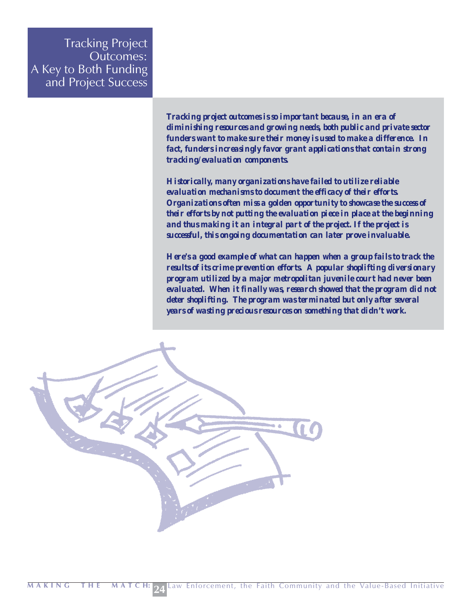<span id="page-32-0"></span>Tracking Project Outcomes: A Key to Both Funding and Project Success

> *Tracking project outcomes is so important because, in an era of diminishing resources and growing needs, both public and private sector funders want to make sure their money is used to make a difference. In fact, funders increasingly favor grant applications that contain strong tracking/evaluation components.*

> *Historically, many organizations have failed to utilize reliable evaluation mechanisms to document the efficacy of their efforts. Organizations often miss a golden opportunity to showcase the success of their efforts by not putting the evaluation piece in place at the beginning and thus making it an integral part of the project. If the project is successful, this ongoing documentation can later prove invaluable.*

*Here's a good example of what can happen when a group fails to track the results of its crime prevention efforts. A popular shoplifting diversionary program utilized by a major metropolitan juvenile court had never been evaluated. When it finally was, research showed that the program did not deter shoplifting. The program was terminated but only after several years of wasting precious resources on something that didn't work.* 

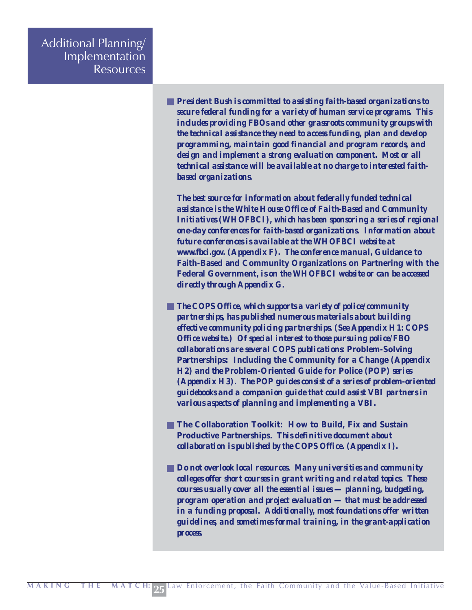■ *President Bush is committed to assisting faith-based organizations to secure federal funding for a variety of human service programs. This includes providing FBOs and other grassroots community groups with the technical assistance they need to access funding, plan and develop programming, maintain good financial and program records, and design and implement a strong evaluation component. Most or all technical assistance will be available at no charge to interested faithbased organizations.* 

*The best source for information about federally funded technical assistance is the White House Office of Faith-Based and Community Initiatives (WHOFBCI), which has been sponsoring a series of regional one-day conferences for faith-based organizations. Information about future conferences is available at the WHOFBCI website at www.fbci.gov. (Appendix F). The conference manual,* **Guidance to Faith-Based and Community Organizations on Partnering with the Federal Government***, is on the WHOFBCI website or can be accessed directly through Appendix G.* 

■ *The COPS Office, which supports a variety of police/community partnerships, has published numerous materials about building effective community policing partnerships. (See Appendix H1: COPS Office website.) Of special interest to those pursuing police/FBO collaborations are several COPS publications:* **Problem-Solving Partnerships: Including the Community for a Change** *(Appendix H2) and the* **Problem-Oriented Guide for Police (POP)** *series (Appendix H3). The POP guides consist of a series of problem-oriented guidebooks and a companion guide that could assist VBI partners in various aspects of planning and implementing a VBI.* 

■ **The Collaboration Toolkit: How to Build, Fix and Sustain Productive Partnerships.** *This definitive document about collaboration is published by the COPS Office. (Appendix I).* 

■ *Do not overlook local resources. Many universities and community colleges offer short courses in grant writing and related topics. These courses usually cover all the essential issues — planning, budgeting, program operation and project evaluation — that must be addressed in a funding proposal. Additionally, most foundations offer written guidelines, and sometimes formal training, in the grant-application process.*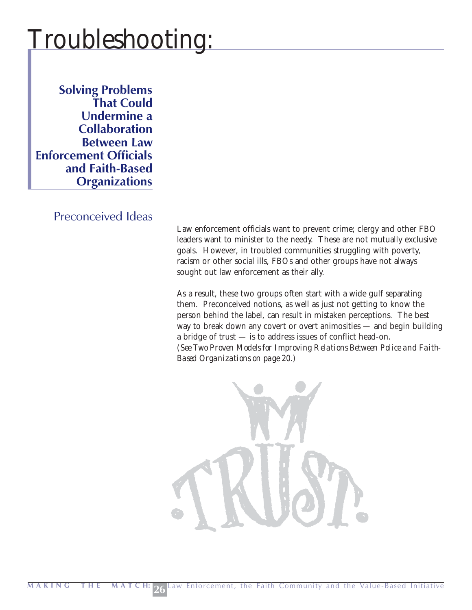# <span id="page-34-0"></span>Troubleshooting:

**Solving Problems That Could Undermine a Collaboration Between Law Enforcement Officials and Faith-Based Organizations**

Preconceived Ideas

Law enforcement officials want to prevent crime; clergy and other FBO leaders want to minister to the needy. These are not mutually exclusive goals. However, in troubled communities struggling with poverty, racism or other social ills, FBOs and other groups have not always sought out law enforcement as their ally.

As a result, these two groups often start with a wide gulf separating them. Preconceived notions, as well as just not getting to know the person behind the label, can result in mistaken perceptions. The best way to break down any covert or overt animosities — and begin building a bridge of trust — is to address issues of conflict head-on. *(See Two Proven Models for Improving Relations Between Police and Faith-Based Organizations on page 20.)* 

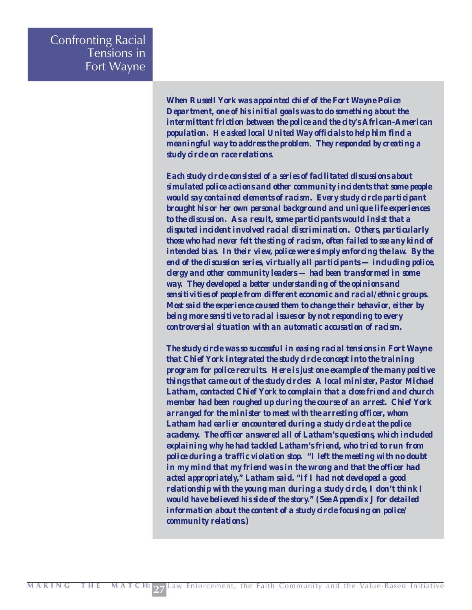*When Russell York was appointed chief of the Fort Wayne Police Department, one of his initial goals was to do something about the intermittent friction between the police and the city's African-American population. He asked local United Way officials to help him find a meaningful way to address the problem. They responded by creating a study circle on race relations.* 

*Each study circle consisted of a series of facilitated discussions about simulated police actions and other community incidents that some people would say contained elements of racism. Every study circle participant brought his or her own personal background and unique life experiences to the discussion. As a result, some participants would insist that a disputed incident involved racial discrimination. Others, particularly those who had never felt the sting of racism, often failed to see any kind of intended bias. In their view, police were simply enforcing the law. By the end of the discussion series, virtually all participants — including police, clergy and other community leaders — had been transformed in some way. They developed a better understanding of the opinions and sensitivities of people from different economic and racial/ethnic groups. Most said the experience caused them to change their behavior, either by being more sensitive to racial issues or by not responding to every controversial situation with an automatic accusation of racism.* 

*The study circle was so successful in easing racial tensions in Fort Wayne that Chief York integrated the study circle concept into the training program for police recruits. Here is just one example of the many positive things that came out of the study circles: A local minister, Pastor Michael Latham, contacted Chief York to complain that a close friend and church member had been roughed up during the course of an arrest. Chief York arranged for the minister to meet with the arresting officer, whom Latham had earlier encountered during a study circle at the police academy. The officer answered all of Latham's questions, which included explaining why he had tackled Latham's friend, who tried to run from police during a traffic violation stop. "I left the meeting with no doubt in my mind that my friend was in the wrong and that the officer had acted appropriately," Latham said. "If I had not developed a good relationship with the young man during a study circle, I don't think I would have believed his side of the story." (See Appendix J for detailed information about the content of a study circle focusing on police/ community relations.)*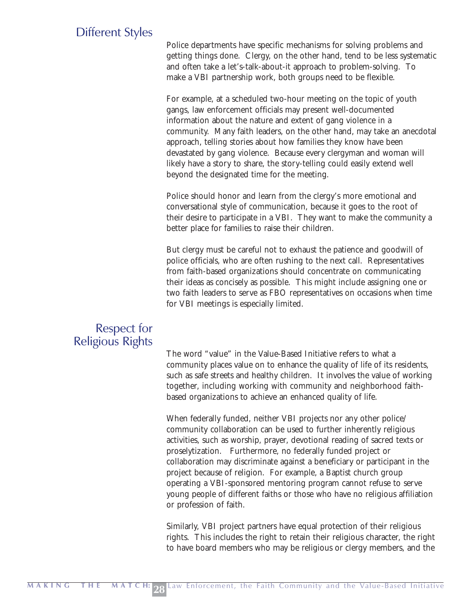# Different Styles

Police departments have specific mechanisms for solving problems and getting things done. Clergy, on the other hand, tend to be less systematic and often take a let's-talk-about-it approach to problem-solving. To make a VBI partnership work, both groups need to be flexible.

For example, at a scheduled two-hour meeting on the topic of youth gangs, law enforcement officials may present well-documented information about the nature and extent of gang violence in a community. Many faith leaders, on the other hand, may take an anecdotal approach, telling stories about how families they know have been devastated by gang violence. Because every clergyman and woman will likely have a story to share, the story-telling could easily extend well beyond the designated time for the meeting.

Police should honor and learn from the clergy's more emotional and conversational style of communication, because it goes to the root of their desire to participate in a VBI. They want to make the community a better place for families to raise their children.

But clergy must be careful not to exhaust the patience and goodwill of police officials, who are often rushing to the next call. Representatives from faith-based organizations should concentrate on communicating their ideas as concisely as possible. This might include assigning one or two faith leaders to serve as FBO representatives on occasions when time for VBI meetings is especially limited.

# Respect for Religious Rights

The word "value" in the Value-Based Initiative refers to what a community places value on to enhance the quality of life of its residents, such as safe streets and healthy children. It involves the value of working together, including working with community and neighborhood faithbased organizations to achieve an enhanced quality of life.

When federally funded, neither VBI projects nor any other police/ community collaboration can be used to further inherently religious activities, such as worship, prayer, devotional reading of sacred texts or proselytization. Furthermore, no federally funded project or collaboration may discriminate against a beneficiary or participant in the project because of religion. For example, a Baptist church group operating a VBI-sponsored mentoring program cannot refuse to serve young people of different faiths or those who have no religious affiliation or profession of faith.

Similarly, VBI project partners have equal protection of their religious rights. This includes the right to retain their religious character, the right to have board members who may be religious or clergy members, and the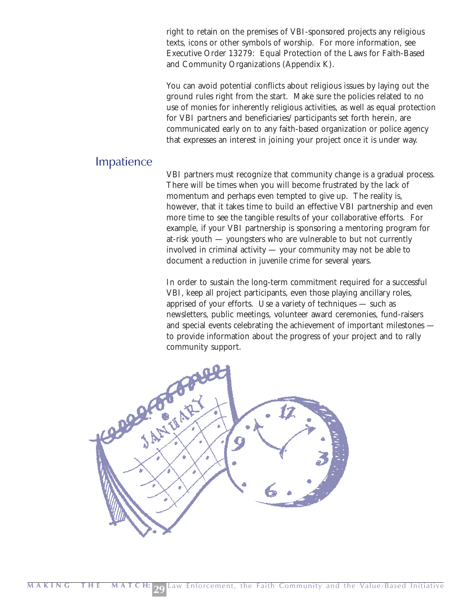right to retain on the premises of VBI-sponsored projects any religious texts, icons or other symbols of worship. For more information, see Executive Order 13279: Equal Protection of the Laws for Faith-Based and Community Organizations (Appendix K).

You can avoid potential conflicts about religious issues by laying out the ground rules right from the start. Make sure the policies related to no use of monies for inherently religious activities, as well as equal protection for VBI partners and beneficiaries/participants set forth herein, are communicated early on to any faith-based organization or police agency that expresses an interest in joining your project once it is under way.

### Impatience

VBI partners must recognize that community change is a gradual process. There will be times when you will become frustrated by the lack of momentum and perhaps even tempted to give up. The reality is, however, that it takes time to build an effective VBI partnership and even more time to see the tangible results of your collaborative efforts. For example, if your VBI partnership is sponsoring a mentoring program for at-risk youth — youngsters who are vulnerable to but not currently involved in criminal activity — your community may not be able to document a reduction in juvenile crime for several years.

In order to sustain the long-term commitment required for a successful VBI, keep all project participants, even those playing ancillary roles, apprised of your efforts. Use a variety of techniques — such as newsletters, public meetings, volunteer award ceremonies, fund-raisers and special events celebrating the achievement of important milestones to provide information about the progress of your project and to rally community support.

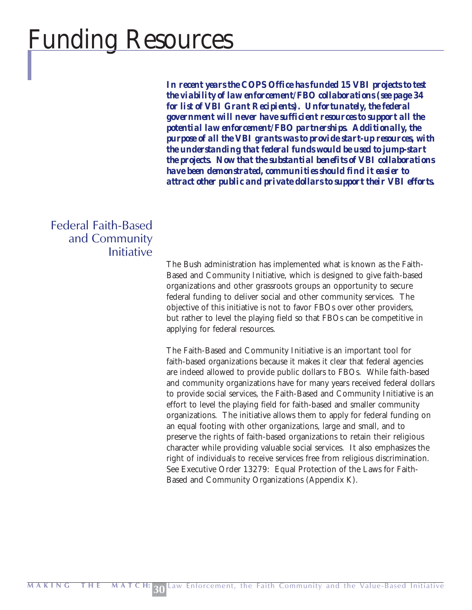# Funding Resources

*In recent years the COPS Office has funded 15 VBI projects to test the viability of law enforcement/FBO collaborations (see page 34 for list of VBI Grant Recipients). Unfortunately, the federal government will never have sufficient resources to support all the potential law enforcement/FBO partnerships. Additionally, the purpose of all the VBI grants was to provide start-up resources, with the understanding that federal funds would be used to jump-start the projects. Now that the substantial benefits of VBI collaborations have been demonstrated, communities should find it easier to attract other public and private dollars to support their VBI efforts.* 

# Federal Faith-Based and Community **Initiative**

The Bush administration has implemented what is known as the Faith-Based and Community Initiative, which is designed to give faith-based organizations and other grassroots groups an opportunity to secure federal funding to deliver social and other community services. The objective of this initiative is not to favor FBOs over other providers, but rather to level the playing field so that FBOs can be competitive in applying for federal resources.

The Faith-Based and Community Initiative is an important tool for faith-based organizations because it makes it clear that federal agencies are indeed allowed to provide public dollars to FBOs. While faith-based and community organizations have for many years received federal dollars to provide social services, the Faith-Based and Community Initiative is an effort to level the playing field for faith-based and smaller community organizations. The initiative allows them to apply for federal funding on an equal footing with other organizations, large and small, and to preserve the rights of faith-based organizations to retain their religious character while providing valuable social services. It also emphasizes the right of individuals to receive services free from religious discrimination. See Executive Order 13279: Equal Protection of the Laws for Faith-Based and Community Organizations (Appendix K).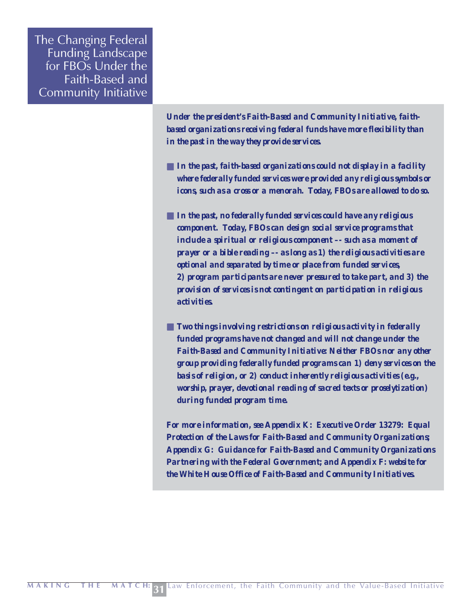The Changing Federal Funding Landscape for FBOs Under the Faith-Based and Community Initiative

> *Under the president's Faith-Based and Community Initiative, faithbased organizations receiving federal funds have more flexibility than in the past in the way they provide services.*

- *In the past, faith-based organizations could not display in a facility where federally funded services were provided any religious symbols or icons, such as a cross or a menorah. Today, FBOs are allowed to do so.*
- *In the past, no federally funded services could have any religious component. Today, FBOs can design social service programs that include a spiritual or religious component –- such as a moment of prayer or a bible reading –- as long as 1) the religious activities are optional and separated by time or place from funded services, 2) program participants are never pressured to take part, and 3) the provision of services is not contingent on participation in religious activities.*
- *Two things involving restrictions on religious activity in federally funded programs have not changed and will not change under the Faith-Based and Community Initiative: Neither FBOs nor any other group providing federally funded programs can 1) deny services on the basis of religion, or 2) conduct inherently religious activities (e.g., worship, prayer, devotional reading of sacred texts or proselytization) during funded program time.*

*For more information, see Appendix K: Executive Order 13279: Equal Protection of the Laws for Faith-Based and Community Organizations; Appendix G: Guidance for Faith-Based and Community Organizations Partnering with the Federal Government; and Appendix F: website for the White House Office of Faith-Based and Community Initiatives.*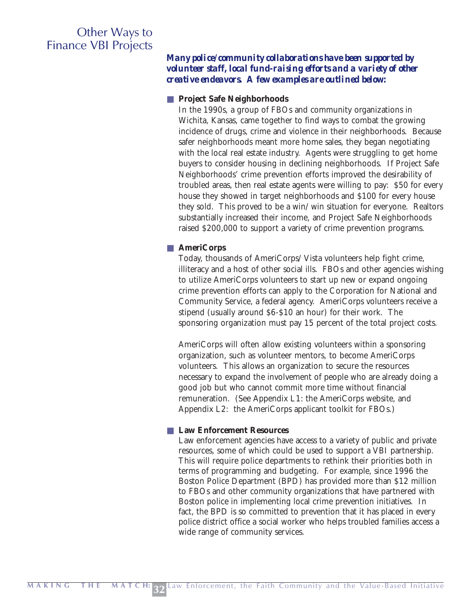# Other Ways to Finance VBI Projects

*Many police/community collaborations have been supported by volunteer staff, local fund-raising efforts and a variety of other creative endeavors. A few examples are outlined below:* 

#### ■ **Project Safe Neighborhoods**

In the 1990s, a group of FBOs and community organizations in Wichita, Kansas, came together to find ways to combat the growing incidence of drugs, crime and violence in their neighborhoods. Because safer neighborhoods meant more home sales, they began negotiating with the local real estate industry. Agents were struggling to get home buyers to consider housing in declining neighborhoods. If Project Safe Neighborhoods' crime prevention efforts improved the desirability of troubled areas, then real estate agents were willing to pay: \$50 for every house they showed in target neighborhoods and \$100 for every house they sold. This proved to be a win/win situation for everyone. Realtors substantially increased their income, and Project Safe Neighborhoods raised \$200,000 to support a variety of crime prevention programs.

#### ■ **AmeriCorps**

Today, thousands of AmeriCorps/Vista volunteers help fight crime, illiteracy and a host of other social ills. FBOs and other agencies wishing to utilize AmeriCorps volunteers to start up new or expand ongoing crime prevention efforts can apply to the Corporation for National and Community Service, a federal agency. AmeriCorps volunteers receive a stipend (usually around \$6-\$10 an hour) for their work. The sponsoring organization must pay 15 percent of the total project costs.

AmeriCorps will often allow existing volunteers within a sponsoring organization, such as volunteer mentors, to become AmeriCorps volunteers. This allows an organization to secure the resources necessary to expand the involvement of people who are already doing a good job but who cannot commit more time without financial remuneration. (See Appendix L1: the AmeriCorps website, and Appendix L2: the AmeriCorps applicant toolkit for FBOs.)

#### ■ Law Enforcement Resources

Law enforcement agencies have access to a variety of public and private resources, some of which could be used to support a VBI partnership. This will require police departments to rethink their priorities both in terms of programming and budgeting. For example, since 1996 the Boston Police Department (BPD) has provided more than \$12 million to FBOs and other community organizations that have partnered with Boston police in implementing local crime prevention initiatives. In fact, the BPD is so committed to prevention that it has placed in every police district office a social worker who helps troubled families access a wide range of community services.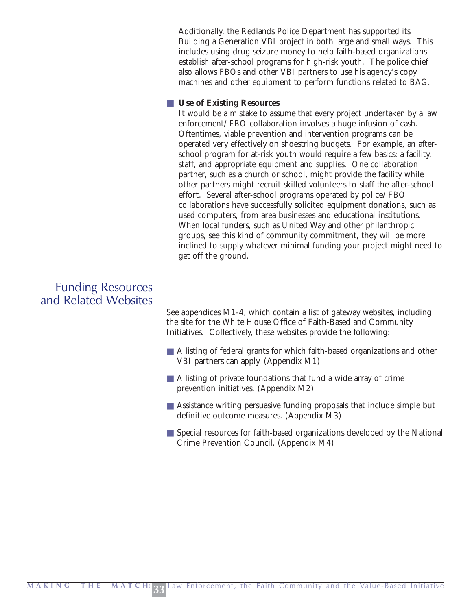Additionally, the Redlands Police Department has supported its Building a Generation VBI project in both large and small ways. This includes using drug seizure money to help faith-based organizations establish after-school programs for high-risk youth. The police chief also allows FBOs and other VBI partners to use his agency's copy machines and other equipment to perform functions related to BAG.

#### ■ Use of Existing Resources

It would be a mistake to assume that every project undertaken by a law enforcement/FBO collaboration involves a huge infusion of cash. Oftentimes, viable prevention and intervention programs can be operated very effectively on shoestring budgets. For example, an afterschool program for at-risk youth would require a few basics: a facility, staff, and appropriate equipment and supplies. One collaboration partner, such as a church or school, might provide the facility while other partners might recruit skilled volunteers to staff the after-school effort. Several after-school programs operated by police/FBO collaborations have successfully solicited equipment donations, such as used computers, from area businesses and educational institutions. When local funders, such as United Way and other philanthropic groups, see this kind of community commitment, they will be more inclined to supply whatever minimal funding your project might need to get off the ground.

## Funding Resources and Related Websites

See appendices M1-4, which contain a list of gateway websites, including the site for the White House Office of Faith-Based and Community Initiatives. Collectively, these websites provide the following:

- A listing of federal grants for which faith-based organizations and other VBI partners can apply. (Appendix M1)
- A listing of private foundations that fund a wide array of crime prevention initiatives. (Appendix M2)
- Assistance writing persuasive funding proposals that include simple but definitive outcome measures. (Appendix M3)
- Special resources for faith-based organizations developed by the National Crime Prevention Council. (Appendix M4)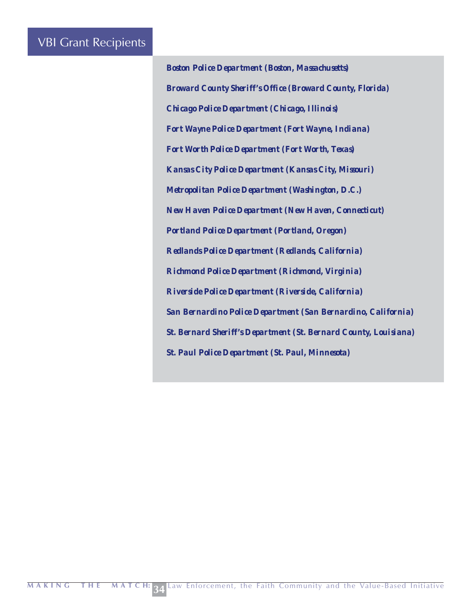*Boston Police Department (Boston, Massachusetts) Broward County Sheriff's Office (Broward County, Florida) Chicago Police Department (Chicago, Illinois) Fort Wayne Police Department (Fort Wayne, Indiana) Fort Worth Police Department (Fort Worth, Texas) Kansas City Police Department (Kansas City, Missouri) Metropolitan Police Department (Washington, D.C.) New Haven Police Department (New Haven, Connecticut) Portland Police Department (Portland, Oregon) Redlands Police Department (Redlands, California) Richmond Police Department (Richmond, Virginia) Riverside Police Department (Riverside, California) San Bernardino Police Department (San Bernardino, California) St. Bernard Sheriff's Department (St. Bernard County, Louisiana) St. Paul Police Department (St. Paul, Minnesota)*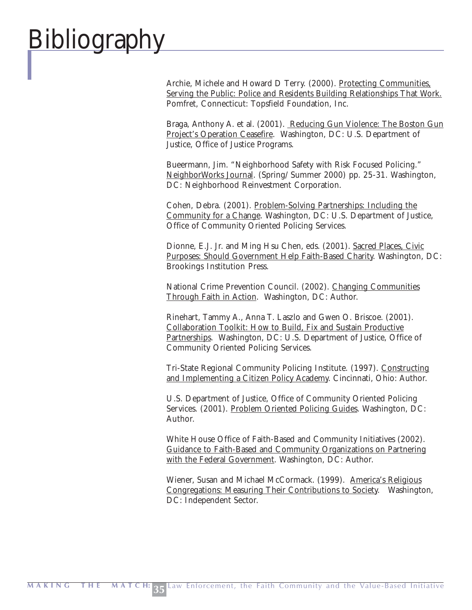# **Bibliography**

Archie, Michele and Howard D Terry. (2000). Protecting Communities, Serving the Public: Police and Residents Building Relationships That Work. Pomfret, Connecticut: Topsfield Foundation, Inc.

Braga, Anthony A. et al. (2001). Reducing Gun Violence: The Boston Gun Project's Operation Ceasefire. Washington, DC: U.S. Department of Justice, Office of Justice Programs.

Bueermann, Jim. "Neighborhood Safety with Risk Focused Policing." NeighborWorks Journal. (Spring/Summer 2000) pp. 25-31. Washington, DC: Neighborhood Reinvestment Corporation.

Cohen, Debra. (2001). Problem-Solving Partnerships: Including the Community for a Change. Washington, DC: U.S. Department of Justice, Office of Community Oriented Policing Services.

Dionne, E.J. Jr. and Ming Hsu Chen, eds. (2001). Sacred Places, Civic Purposes: Should Government Help Faith-Based Charity. Washington, DC: Brookings Institution Press.

National Crime Prevention Council. (2002). Changing Communities Through Faith in Action. Washington, DC: Author.

Rinehart, Tammy A., Anna T. Laszlo and Gwen O. Briscoe. (2001). Collaboration Toolkit: How to Build, Fix and Sustain Productive Partnerships. Washington, DC: U.S. Department of Justice, Office of Community Oriented Policing Services.

Tri-State Regional Community Policing Institute. (1997). Constructing and Implementing a Citizen Policy Academy. Cincinnati, Ohio: Author.

U.S. Department of Justice, Office of Community Oriented Policing Services. (2001). Problem Oriented Policing Guides. Washington, DC: Author.

White House Office of Faith-Based and Community Initiatives (2002). Guidance to Faith-Based and Community Organizations on Partnering with the Federal Government. Washington, DC: Author.

Wiener, Susan and Michael McCormack. (1999). America's Religious Congregations: Measuring Their Contributions to Society. Washington, DC: Independent Sector.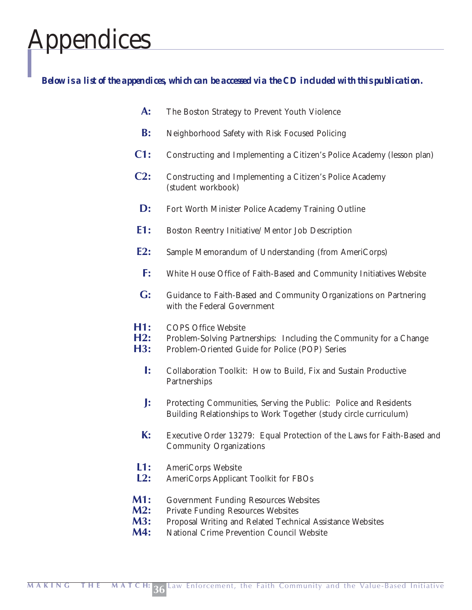# Appendices

### *Below is a list of the appendices, which can be accessed via the CD included with this publication.*

- A: The Boston Strategy to Prevent Youth Violence
- **B:** Neighborhood Safety with Risk Focused Policing
- **C1:** Constructing and Implementing a Citizen's Police Academy (lesson plan)
- **C2:** Constructing and Implementing a Citizen's Police Academy (student workbook)
- **D:** Fort Worth Minister Police Academy Training Outline
- **E1:** Boston Reentry Initiative/Mentor Job Description
- **E2:** Sample Memorandum of Understanding (from AmeriCorps)
- **F:** White House Office of Faith-Based and Community Initiatives Website
- **G:** Guidance to Faith-Based and Community Organizations on Partnering with the Federal Government
- **H1:** COPS Office Website<br>**H2:** Problem-Solving Parti
- **H2:** Problem-Solving Partnerships: Including the Community for a Change **H3:** Problem-Oriented Guide for Police (POP) Series
- Problem-Oriented Guide for Police (POP) Series
	- **I:** Collaboration Toolkit: How to Build, Fix and Sustain Productive **Partnerships**
	- **I:** Protecting Communities, Serving the Public: Police and Residents Building Relationships to Work Together (study circle curriculum)
	- K: Executive Order 13279: Equal Protection of the Laws for Faith-Based and Community Organizations
- **L1:** AmeriCorps Website<br>**L2:** AmeriCorps Applican
- **L2:** AmeriCorps Applicant Toolkit for FBOs
- **M1:** Government Funding Resources Websites<br>**M2:** Private Funding Resources Websites
- **M2:** Private Funding Resources Websites<br>**M3:** Proposal Writing and Related Techni
- **M3:** Proposal Writing and Related Technical Assistance Websites
- **M4:** National Crime Prevention Council Website